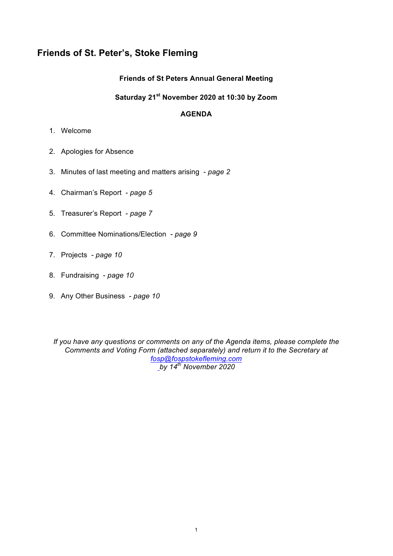# **Friends of St. Peter's, Stoke Fleming**

# **Friends of St Peters Annual General Meeting**

## **Saturday 21st November 2020 at 10:30 by Zoom**

## **AGENDA**

- 1. Welcome
- 2. Apologies for Absence
- 3. Minutes of last meeting and matters arising *page 2*
- 4. Chairman's Report *page 5*
- 5. Treasurer's Report *page 7*
- 6. Committee Nominations/Election *page 9*
- 7. Projects *page 10*
- 8. Fundraising *page 10*
- 9. Any Other Business *page 10*

*If you have any questions or comments on any of the Agenda items, please complete the Comments and Voting Form (attached separately) and return it to the Secretary at fosp@fospstokefleming.com by 14th November 2020*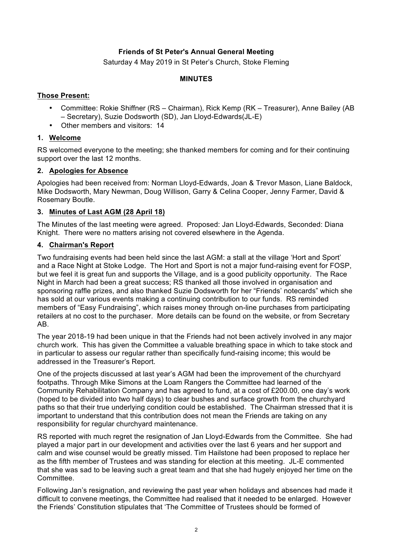# **Friends of St Peter's Annual General Meeting**

Saturday 4 May 2019 in St Peter's Church, Stoke Fleming

#### **MINUTES**

#### **Those Present:**

- Committee: Rokie Shiffner (RS Chairman), Rick Kemp (RK Treasurer), Anne Bailey (AB – Secretary), Suzie Dodsworth (SD), Jan Lloyd-Edwards(JL-E)
- Other members and visitors: 14

## **1. Welcome**

RS welcomed everyone to the meeting; she thanked members for coming and for their continuing support over the last 12 months.

## **2. Apologies for Absence**

Apologies had been received from: Norman Lloyd-Edwards, Joan & Trevor Mason, Liane Baldock, Mike Dodsworth, Mary Newman, Doug Willison, Garry & Celina Cooper, Jenny Farmer, David & Rosemary Boutle.

## **3. Minutes of Last AGM (28 April 18)**

The Minutes of the last meeting were agreed. Proposed: Jan Lloyd-Edwards, Seconded: Diana Knight. There were no matters arising not covered elsewhere in the Agenda.

## **4. Chairman's Report**

Two fundraising events had been held since the last AGM: a stall at the village 'Hort and Sport' and a Race Night at Stoke Lodge. The Hort and Sport is not a major fund-raising event for FOSP, but we feel it is great fun and supports the Village, and is a good publicity opportunity. The Race Night in March had been a great success; RS thanked all those involved in organisation and sponsoring raffle prizes, and also thanked Suzie Dodsworth for her "Friends' notecards" which she has sold at our various events making a continuing contribution to our funds. RS reminded members of "Easy Fundraising", which raises money through on-line purchases from participating retailers at no cost to the purchaser. More details can be found on the website, or from Secretary AB.

The year 2018-19 had been unique in that the Friends had not been actively involved in any major church work. This has given the Committee a valuable breathing space in which to take stock and in particular to assess our regular rather than specifically fund-raising income; this would be addressed in the Treasurer's Report.

One of the projects discussed at last year's AGM had been the improvement of the churchyard footpaths. Through Mike Simons at the Loam Rangers the Committee had learned of the Community Rehabilitation Company and has agreed to fund, at a cost of £200.00, one day's work (hoped to be divided into two half days) to clear bushes and surface growth from the churchyard paths so that their true underlying condition could be established. The Chairman stressed that it is important to understand that this contribution does not mean the Friends are taking on any responsibility for regular churchyard maintenance.

RS reported with much regret the resignation of Jan Lloyd-Edwards from the Committee. She had played a major part in our development and activities over the last 6 years and her support and calm and wise counsel would be greatly missed. Tim Hailstone had been proposed to replace her as the fifth member of Trustees and was standing for election at this meeting. JL-E commented that she was sad to be leaving such a great team and that she had hugely enjoyed her time on the Committee.

Following Jan's resignation, and reviewing the past year when holidays and absences had made it difficult to convene meetings, the Committee had realised that it needed to be enlarged. However the Friends' Constitution stipulates that 'The Committee of Trustees should be formed of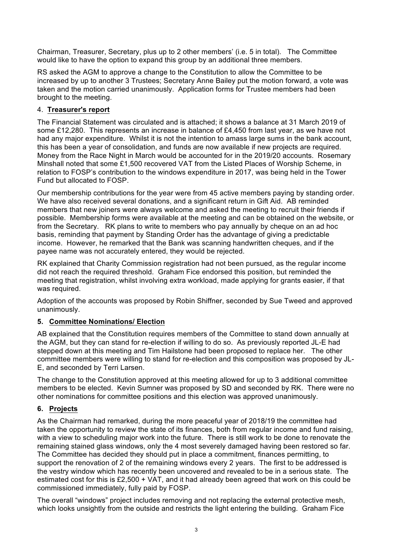Chairman, Treasurer, Secretary, plus up to 2 other members' (i.e. 5 in total). The Committee would like to have the option to expand this group by an additional three members.

RS asked the AGM to approve a change to the Constitution to allow the Committee to be increased by up to another 3 Trustees; Secretary Anne Bailey put the motion forward, a vote was taken and the motion carried unanimously. Application forms for Trustee members had been brought to the meeting.

## 4. **Treasurer's report**

The Financial Statement was circulated and is attached; it shows a balance at 31 March 2019 of some £12,280. This represents an increase in balance of £4,450 from last year, as we have not had any major expenditure. Whilst it is not the intention to amass large sums in the bank account, this has been a year of consolidation, and funds are now available if new projects are required. Money from the Race Night in March would be accounted for in the 2019/20 accounts. Rosemary Minshall noted that some £1,500 recovered VAT from the Listed Places of Worship Scheme, in relation to FOSP's contribution to the windows expenditure in 2017, was being held in the Tower Fund but allocated to FOSP.

Our membership contributions for the year were from 45 active members paying by standing order. We have also received several donations, and a significant return in Gift Aid. AB reminded members that new joiners were always welcome and asked the meeting to recruit their friends if possible. Membership forms were available at the meeting and can be obtained on the website, or from the Secretary. RK plans to write to members who pay annually by cheque on an ad hoc basis, reminding that payment by Standing Order has the advantage of giving a predictable income. However, he remarked that the Bank was scanning handwritten cheques, and if the payee name was not accurately entered, they would be rejected.

RK explained that Charity Commission registration had not been pursued, as the regular income did not reach the required threshold. Graham Fice endorsed this position, but reminded the meeting that registration, whilst involving extra workload, made applying for grants easier, if that was required.

Adoption of the accounts was proposed by Robin Shiffner, seconded by Sue Tweed and approved unanimously.

## **5. Committee Nominations/ Election**

AB explained that the Constitution requires members of the Committee to stand down annually at the AGM, but they can stand for re-election if willing to do so. As previously reported JL-E had stepped down at this meeting and Tim Hailstone had been proposed to replace her. The other committee members were willing to stand for re-election and this composition was proposed by JL-E, and seconded by Terri Larsen.

The change to the Constitution approved at this meeting allowed for up to 3 additional committee members to be elected. Kevin Sumner was proposed by SD and seconded by RK. There were no other nominations for committee positions and this election was approved unanimously.

## **6. Projects**

As the Chairman had remarked, during the more peaceful year of 2018/19 the committee had taken the opportunity to review the state of its finances, both from regular income and fund raising, with a view to scheduling major work into the future. There is still work to be done to renovate the remaining stained glass windows, only the 4 most severely damaged having been restored so far. The Committee has decided they should put in place a commitment, finances permitting, to support the renovation of 2 of the remaining windows every 2 years. The first to be addressed is the vestry window which has recently been uncovered and revealed to be in a serious state. The estimated cost for this is £2,500 + VAT, and it had already been agreed that work on this could be commissioned immediately, fully paid by FOSP.

The overall "windows" project includes removing and not replacing the external protective mesh, which looks unsightly from the outside and restricts the light entering the building. Graham Fice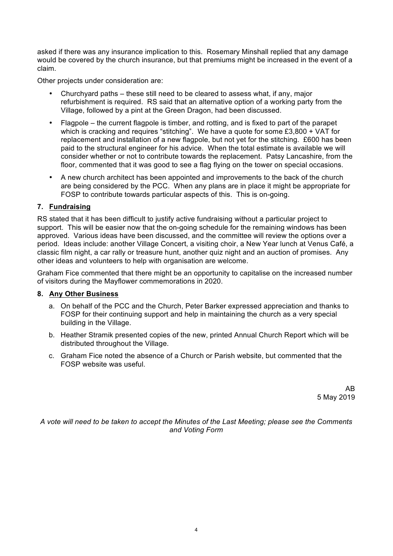asked if there was any insurance implication to this. Rosemary Minshall replied that any damage would be covered by the church insurance, but that premiums might be increased in the event of a claim.

Other projects under consideration are:

- Churchyard paths these still need to be cleared to assess what, if any, major refurbishment is required. RS said that an alternative option of a working party from the Village, followed by a pint at the Green Dragon, had been discussed.
- Flagpole the current flagpole is timber, and rotting, and is fixed to part of the parapet which is cracking and requires "stitching". We have a quote for some £3,800 + VAT for replacement and installation of a new flagpole, but not yet for the stitching. £600 has been paid to the structural engineer for his advice. When the total estimate is available we will consider whether or not to contribute towards the replacement. Patsy Lancashire, from the floor, commented that it was good to see a flag flying on the tower on special occasions.
- A new church architect has been appointed and improvements to the back of the church are being considered by the PCC. When any plans are in place it might be appropriate for FOSP to contribute towards particular aspects of this. This is on-going.

# **7. Fundraising**

RS stated that it has been difficult to justify active fundraising without a particular project to support. This will be easier now that the on-going schedule for the remaining windows has been approved. Various ideas have been discussed, and the committee will review the options over a period. Ideas include: another Village Concert, a visiting choir, a New Year lunch at Venus Café, a classic film night, a car rally or treasure hunt, another quiz night and an auction of promises. Any other ideas and volunteers to help with organisation are welcome.

Graham Fice commented that there might be an opportunity to capitalise on the increased number of visitors during the Mayflower commemorations in 2020.

## **8. Any Other Business**

- a. On behalf of the PCC and the Church, Peter Barker expressed appreciation and thanks to FOSP for their continuing support and help in maintaining the church as a very special building in the Village.
- b. Heather Stramik presented copies of the new, printed Annual Church Report which will be distributed throughout the Village.
- c. Graham Fice noted the absence of a Church or Parish website, but commented that the FOSP website was useful.

AB 5 May 2019

*A vote will need to be taken to accept the Minutes of the Last Meeting; please see the Comments and Voting Form*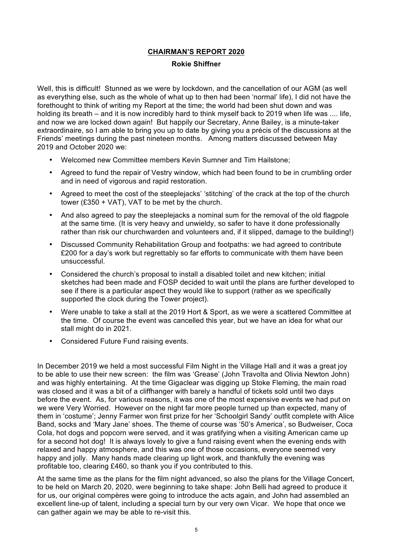# **CHAIRMAN'S REPORT 2020**

#### **Rokie Shiffner**

Well, this is difficult! Stunned as we were by lockdown, and the cancellation of our AGM (as well as everything else, such as the whole of what up to then had been 'normal' life), I did not have the forethought to think of writing my Report at the time; the world had been shut down and was holding its breath – and it is now incredibly hard to think myself back to 2019 when life was .... life, and now we are locked down again! But happily our Secretary, Anne Bailey, is a minute-taker extraordinaire, so I am able to bring you up to date by giving you a précis of the discussions at the Friends' meetings during the past nineteen months. Among matters discussed between May 2019 and October 2020 we:

- Welcomed new Committee members Kevin Sumner and Tim Hailstone;
- Agreed to fund the repair of Vestry window, which had been found to be in crumbling order and in need of vigorous and rapid restoration.
- Agreed to meet the cost of the steeplejacks' 'stitching' of the crack at the top of the church tower (£350 + VAT), VAT to be met by the church.
- And also agreed to pay the steeplejacks a nominal sum for the removal of the old flagpole at the same time. (It is very heavy and unwieldy, so safer to have it done professionally rather than risk our churchwarden and volunteers and, if it slipped, damage to the building!)
- Discussed Community Rehabilitation Group and footpaths: we had agreed to contribute £200 for a day's work but regrettably so far efforts to communicate with them have been unsuccessful.
- Considered the church's proposal to install a disabled toilet and new kitchen; initial sketches had been made and FOSP decided to wait until the plans are further developed to see if there is a particular aspect they would like to support (rather as we specifically supported the clock during the Tower project).
- Were unable to take a stall at the 2019 Hort & Sport, as we were a scattered Committee at the time. Of course the event was cancelled this year, but we have an idea for what our stall might do in 2021.
- Considered Future Fund raising events.

In December 2019 we held a most successful Film Night in the Village Hall and it was a great joy to be able to use their new screen: the film was 'Grease' (John Travolta and Olivia Newton John) and was highly entertaining. At the time Gigaclear was digging up Stoke Fleming, the main road was closed and it was a bit of a cliffhanger with barely a handful of tickets sold until two days before the event. As, for various reasons, it was one of the most expensive events we had put on we were Very Worried. However on the night far more people turned up than expected, many of them in 'costume'; Jenny Farmer won first prize for her 'Schoolgirl Sandy' outfit complete with Alice Band, socks and 'Mary Jane' shoes. The theme of course was '50's America', so Budweiser, Coca Cola, hot dogs and popcorn were served, and it was gratifying when a visiting American came up for a second hot dog! It is always lovely to give a fund raising event when the evening ends with relaxed and happy atmosphere, and this was one of those occasions, everyone seemed very happy and jolly. Many hands made clearing up light work, and thankfully the evening was profitable too, clearing £460, so thank you if you contributed to this.

At the same time as the plans for the film night advanced, so also the plans for the Village Concert, to be held on March 20, 2020, were beginning to take shape: John Belli had agreed to produce it for us, our original compères were going to introduce the acts again, and John had assembled an excellent line-up of talent, including a special turn by our very own Vicar. We hope that once we can gather again we may be able to re-visit this.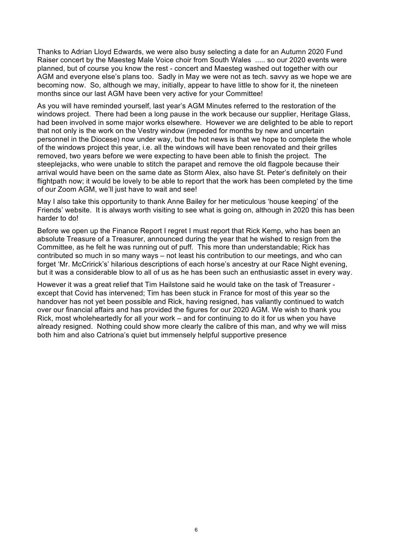Thanks to Adrian Lloyd Edwards, we were also busy selecting a date for an Autumn 2020 Fund Raiser concert by the Maesteg Male Voice choir from South Wales ..... so our 2020 events were planned, but of course you know the rest - concert and Maesteg washed out together with our AGM and everyone else's plans too. Sadly in May we were not as tech. savvy as we hope we are becoming now. So, although we may, initially, appear to have little to show for it, the nineteen months since our last AGM have been very active for your Committee!

As you will have reminded yourself, last year's AGM Minutes referred to the restoration of the windows project. There had been a long pause in the work because our supplier, Heritage Glass, had been involved in some major works elsewhere. However we are delighted to be able to report that not only is the work on the Vestry window (impeded for months by new and uncertain personnel in the Diocese) now under way, but the hot news is that we hope to complete the whole of the windows project this year, i.e. all the windows will have been renovated and their grilles removed, two years before we were expecting to have been able to finish the project. The steeplejacks, who were unable to stitch the parapet and remove the old flagpole because their arrival would have been on the same date as Storm Alex, also have St. Peter's definitely on their flightpath now; it would be lovely to be able to report that the work has been completed by the time of our Zoom AGM, we'll just have to wait and see!

May I also take this opportunity to thank Anne Bailey for her meticulous 'house keeping' of the Friends' website. It is always worth visiting to see what is going on, although in 2020 this has been harder to do!

Before we open up the Finance Report I regret I must report that Rick Kemp, who has been an absolute Treasure of a Treasurer, announced during the year that he wished to resign from the Committee, as he felt he was running out of puff. This more than understandable; Rick has contributed so much in so many ways – not least his contribution to our meetings, and who can forget 'Mr. McCririck's' hilarious descriptions of each horse's ancestry at our Race Night evening, but it was a considerable blow to all of us as he has been such an enthusiastic asset in every way.

However it was a great relief that Tim Hailstone said he would take on the task of Treasurer except that Covid has intervened; Tim has been stuck in France for most of this year so the handover has not yet been possible and Rick, having resigned, has valiantly continued to watch over our financial affairs and has provided the figures for our 2020 AGM. We wish to thank you Rick, most wholeheartedly for all your work – and for continuing to do it for us when you have already resigned. Nothing could show more clearly the calibre of this man, and why we will miss both him and also Catriona's quiet but immensely helpful supportive presence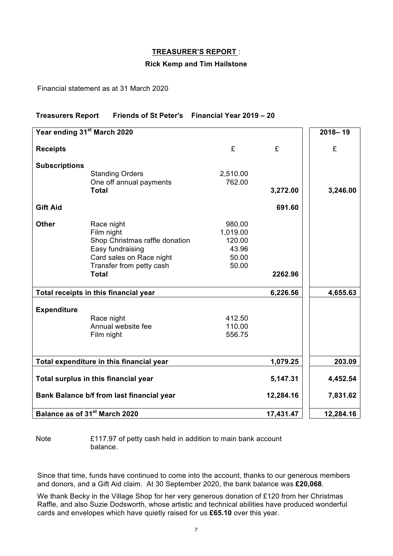#### **TREASURER'S REPORT** :

#### **Rick Kemp and Tim Hailstone**

Financial statement as at 31 March 2020

## **Treasurers Report Friends of St Peter's Financial Year 2019 – 20**

| Year ending 31 <sup>st</sup> March 2020   |                                          |          |           | $2018 - 19$ |
|-------------------------------------------|------------------------------------------|----------|-----------|-------------|
| <b>Receipts</b>                           |                                          | £        | £         | £           |
|                                           |                                          |          |           |             |
| <b>Subscriptions</b>                      |                                          |          |           |             |
|                                           | <b>Standing Orders</b>                   | 2,510.00 |           |             |
|                                           | One off annual payments<br><b>Total</b>  | 762.00   | 3,272.00  | 3,246.00    |
|                                           |                                          |          |           |             |
| <b>Gift Aid</b>                           |                                          |          | 691.60    |             |
| <b>Other</b>                              | Race night                               | 980.00   |           |             |
|                                           | Film night                               | 1,019.00 |           |             |
|                                           | Shop Christmas raffle donation           | 120.00   |           |             |
|                                           | Easy fundraising                         | 43.96    |           |             |
|                                           | Card sales on Race night                 | 50.00    |           |             |
|                                           | Transfer from petty cash<br><b>Total</b> | 50.00    | 2262.96   |             |
|                                           |                                          |          |           |             |
| Total receipts in this financial year     |                                          |          | 6,226.56  | 4,655.63    |
| <b>Expenditure</b>                        |                                          |          |           |             |
|                                           | Race night                               | 412.50   |           |             |
|                                           | Annual website fee                       | 110.00   |           |             |
|                                           | Film night                               | 556.75   |           |             |
|                                           |                                          |          |           |             |
| Total expenditure in this financial year  |                                          |          | 1,079.25  | 203.09      |
| Total surplus in this financial year      |                                          |          | 5,147.31  | 4,452.54    |
| Bank Balance b/f from last financial year |                                          |          | 12,284.16 | 7,831.62    |
| Balance as of 31 <sup>st</sup> March 2020 |                                          |          | 17,431.47 | 12,284.16   |

Note £117.97 of petty cash held in addition to main bank account balance.

Since that time, funds have continued to come into the account, thanks to our generous members and donors, and a Gift Aid claim. At 30 September 2020, the bank balance was **£20,068**.

We thank Becky in the Village Shop for her very generous donation of £120 from her Christmas Raffle, and also Suzie Dodsworth, whose artistic and technical abilities have produced wonderful cards and envelopes which have quietly raised for us **£65.10** over this year.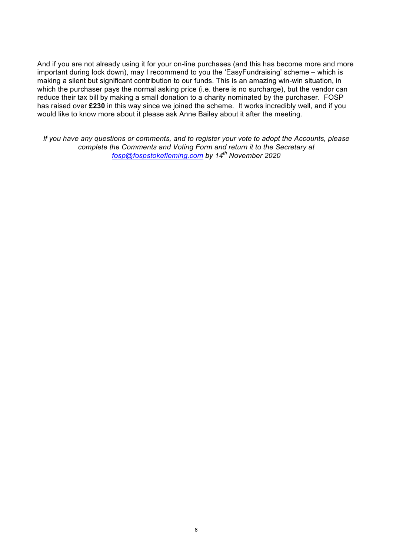And if you are not already using it for your on-line purchases (and this has become more and more important during lock down), may I recommend to you the 'EasyFundraising' scheme – which is making a silent but significant contribution to our funds. This is an amazing win-win situation, in which the purchaser pays the normal asking price (i.e. there is no surcharge), but the vendor can reduce their tax bill by making a small donation to a charity nominated by the purchaser. FOSP has raised over **£230** in this way since we joined the scheme. It works incredibly well, and if you would like to know more about it please ask Anne Bailey about it after the meeting.

*If you have any questions or comments, and to register your vote to adopt the Accounts, please complete the Comments and Voting Form and return it to the Secretary at fosp@fospstokefleming.com by 14th November 2020*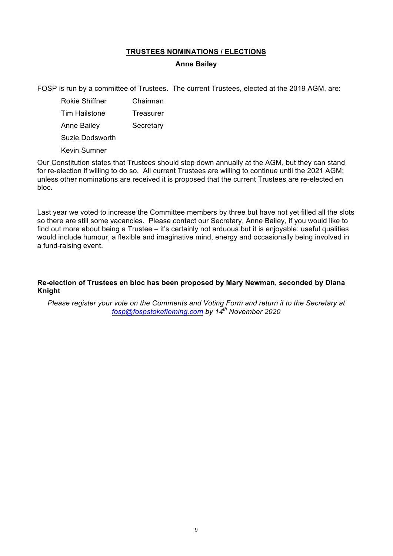## **TRUSTEES NOMINATIONS / ELECTIONS**

#### **Anne Bailey**

FOSP is run by a committee of Trustees. The current Trustees, elected at the 2019 AGM, are:

Rokie Shiffner Chairman Tim Hailstone Treasurer Anne Bailey Secretary Suzie Dodsworth

Kevin Sumner

Our Constitution states that Trustees should step down annually at the AGM, but they can stand for re-election if willing to do so. All current Trustees are willing to continue until the 2021 AGM; unless other nominations are received it is proposed that the current Trustees are re-elected en bloc.

Last year we voted to increase the Committee members by three but have not yet filled all the slots so there are still some vacancies. Please contact our Secretary, Anne Bailey, if you would like to find out more about being a Trustee – it's certainly not arduous but it is enjoyable: useful qualities would include humour, a flexible and imaginative mind, energy and occasionally being involved in a fund-raising event.

## **Re-election of Trustees en bloc has been proposed by Mary Newman, seconded by Diana Knight**

*Please register your vote on the Comments and Voting Form and return it to the Secretary at fosp@fospstokefleming.com by 14th November 2020*